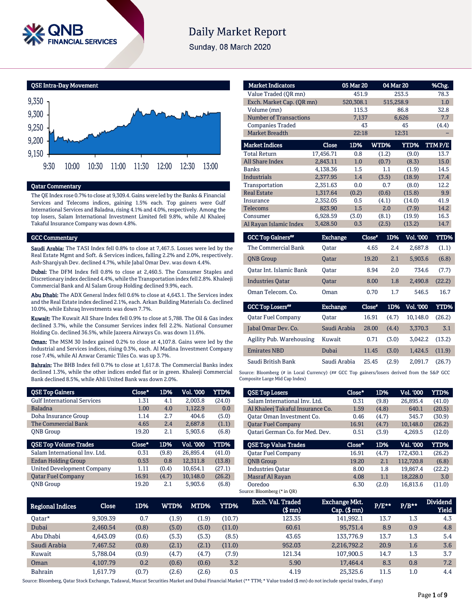

# **Daily Market Report**

Sunday, 08 March 2020



# Qatar Commentary

The QE Index rose 0.7% to close at 9,309.4. Gains were led by the Banks & Financial Services and Telecoms indices, gaining 1.5% each. Top gainers were Gulf International Services and Baladna, rising 4.1% and 4.0%, respectively. Among the top losers, Salam International Investment Limited fell 9.8%, while Al Khaleej Takaful Insurance Company was down 4.8%.

#### GCC Commentary

Saudi Arabia: The TASI Index fell 0.8% to close at 7,467.5. Losses were led by the Real Estate Mgmt and Soft. & Services indices, falling 2.2% and 2.0%, respectively. Ash-Sharqiyah Dev. declined 4.7%, while Jabal Omar Dev. was down 4.4%.

Dubai: The DFM Index fell 0.8% to close at 2,460.5. The Consumer Staples and Discretionary index declined 4.4%, while the Transportation index fell 2.8%. Khaleeji Commercial Bank and Al Salam Group Holding declined 9.9%, each.

Abu Dhabi: The ADX General Index fell 0.6% to close at 4,643.1. The Services index and the Real Estate index declined 2.1%, each. Arkan Building Materials Co. declined 10.0%, while Eshraq Investments was down 7.7%.

Kuwait: The Kuwait All Share Index fell 0.9% to close at 5,788. The Oil & Gas index declined 3.7%, while the Consumer Services index fell 2.2%. National Consumer Holding Co. declined 36.5%, while Jazeera Airways Co. was down 11.6%.

Oman: The MSM 30 Index gained 0.2% to close at 4,107.8. Gains were led by the Industrial and Services indices, rising 0.3%, each. Al Madina Investment Company rose 7.4%, while Al Anwar Ceramic Tiles Co. was up 3.7%.

Bahrain: The BHB Index fell 0.7% to close at 1,617.8. The Commercial Banks index declined 1.3%, while the other indices ended flat or in green. Khaleeji Commercial Bank declined 8.5%, while Ahli United Bank was down 2.0%.

| <b>QSE Top Gainers</b>             | Close* | 1D%   | <b>Vol. '000</b> | YTD%   |
|------------------------------------|--------|-------|------------------|--------|
| <b>Gulf International Services</b> | 1.31   | 4.1   | 2.003.8          | (24.0) |
| <b>Baladna</b>                     | 1.00   | 4.0   | 1,122.9          | 0.0    |
| Doha Insurance Group               | 1.14   | 2.7   | 404.6            | (5.0)  |
| The Commercial Bank                | 4.65   | 2.4   | 2,687.8          | (1.1)  |
| <b>ONB</b> Group                   | 19.20  | 2.1   | 5.903.6          | (6.8)  |
|                                    |        |       |                  |        |
| <b>QSE Top Volume Trades</b>       | Close* | 1D%   | Vol. '000        | YTD%   |
| Salam International Inv. Ltd.      | 0.31   | (9.8) | 26.895.4         | (41.0) |
| Ezdan Holding Group                | 0.53   | 0.8   | 12.311.8         | (13.8) |
| <b>United Development Company</b>  | 1.11   | (0.4) | 10.654.1         | (27.1) |
| <b>Oatar Fuel Company</b>          | 16.91  | (4.7) | 10.148.0         | (26.2) |

| <b>Market Indicators</b>  |           | 05 Mar 20 |       | 04 Mar 20 | %Chg.  |  |  |
|---------------------------|-----------|-----------|-------|-----------|--------|--|--|
| Value Traded (OR mn)      |           | 451.9     |       | 253.5     | 78.3   |  |  |
| Exch. Market Cap. (OR mn) |           | 520,308.1 |       | 515,258.9 | 1.0    |  |  |
| Volume (mn)               |           | 115.3     |       | 86.8      | 32.8   |  |  |
| Number of Transactions    |           | 7,137     |       | 6,626     | 7.7    |  |  |
| <b>Companies Traded</b>   |           | 43        |       | 45        | (4.4)  |  |  |
| <b>Market Breadth</b>     |           | 22:18     |       | 12:31     |        |  |  |
| <b>Market Indices</b>     | Close     | 1D%       | WTD%  | YTD%      | TTMP/E |  |  |
| <b>Total Return</b>       | 17,456.71 | 0.8       | (1.2) | (9.0)     | 13.7   |  |  |
| <b>All Share Index</b>    | 2,843.11  | 1.0       | (0.7) | (8.3)     | 15.0   |  |  |
| <b>Banks</b>              | 4,138.36  | 1.5       | 1.1   | (1.9)     | 14.5   |  |  |
| <b>Industrials</b>        | 2,377.95  | 1.4       | (3.5) | (18.9)    | 17.4   |  |  |
| Transportation            | 2.351.63  | 0.0       | 0.7   | (8.0)     | 12.2   |  |  |
| <b>Real Estate</b>        | 1,317.64  | (0.2)     | (0.6) | (15.8)    | 9.9    |  |  |
| Insurance                 | 2,352.05  | 0.5       | (4.1) | (14.0)    | 41.9   |  |  |
| Telecoms                  | 823.90    | 1.5       | 2.0   | (7.9)     | 14.2   |  |  |
| Consumer                  | 6,928.59  | (3.0)     | (8.1) | (19.9)    | 16.3   |  |  |
| Al Rayan Islamic Index    | 3,428.50  | 0.3       | (2.5) | (13.2)    | 14.7   |  |  |

| <b>GCC Top Gainers**</b> | <b>Exchange</b> | Close" | 1D% | <b>Vol. '000</b> | YTD%   |
|--------------------------|-----------------|--------|-----|------------------|--------|
| The Commercial Bank      | Oatar           | 4.65   | 2.4 | 2.687.8          | (1.1)  |
| <b>ONB</b> Group         | <b>Oatar</b>    | 19.20  | 2.1 | 5.903.6          | (6.8)  |
| Oatar Int. Islamic Bank  | Oatar           | 8.94   | 2.0 | 734.6            | (7.7)  |
| <b>Industries Oatar</b>  | <b>Oatar</b>    | 8.00   | 1.8 | 2.490.8          | (22.2) |
| Oman Telecom, Co.        | Oman            | 0.70   | 1.7 | 546.5            | 16.7   |

| <b>GCC Top Losers</b> "   | <b>Exchange</b> | Close* | 1D%   | <b>Vol. '000</b> | YTD%   |
|---------------------------|-----------------|--------|-------|------------------|--------|
| <b>Qatar Fuel Company</b> | Oatar           | 16.91  | (4.7) | 10.148.0         | (26.2) |
| Jabal Omar Dev. Co.       | Saudi Arabia    | 28.00  | (4.4) | 3.370.3          | 3.1    |
| Agility Pub. Warehousing  | Kuwait          | 0.71   | (3.0) | 3.042.2          | (13.2) |
| <b>Emirates NBD</b>       | Dubai           | 11.45  | (3.0) | 1.424.5          | (11.9) |
| Saudi British Bank        | Saudi Arabia    | 25.45  | (2.9) | 2.091.7          | (26.7) |

Source: Bloomberg (# in Local Currency) (## GCC Top gainers/losers derived from the S&P GCC Composite Large Mid Cap Index)

| <b>QSE Top Losers</b>            | Close* | 1D%   | Vol. '000 | YTD%   |
|----------------------------------|--------|-------|-----------|--------|
| Salam International Inv. Ltd.    | 0.31   | (9.8) | 26.895.4  | (41.0) |
| Al Khaleej Takaful Insurance Co. | 1.59   | (4.8) | 640.1     | (20.5) |
| Oatar Oman Investment Co.        | 0.46   | (4.7) | 345.7     | (30.9) |
| <b>Oatar Fuel Company</b>        | 16.91  | (4.7) | 10.148.0  | (26.2) |
| Oatari German Co. for Med. Dev.  | 0.51   | (3.9) | 4,269.5   | (12.0) |
| <b>OSE Top Value Trades</b>      | Close* | 1D%   | Val. '000 | YTD%   |
| <b>Oatar Fuel Company</b>        | 16.91  | (4.7) | 172.430.1 | (26.2) |
| <b>ONB</b> Group                 | 19.20  | 2.1   | 112,720.8 | (6.8)  |
| <b>Industries Oatar</b>          | 8.00   | 1.8   | 19.867.4  | (22.2) |
| Masraf Al Rayan                  | 4.08   | 1.1   | 18,228.0  | 3.0    |
|                                  |        |       | 16,813.6  | (11.0) |

| <b>Regional Indices</b> | <b>Close</b> | 1D%   | WTD%  | MTD%  | YTD%   | Exch. Val. Traded<br>(\$ mn) | <b>Exchange Mkt.</b><br>$Cap.$ (\$ $mn$ ) | $P/E***$ | $P/B***$ | <b>Dividend</b><br><b>Yield</b> |
|-------------------------|--------------|-------|-------|-------|--------|------------------------------|-------------------------------------------|----------|----------|---------------------------------|
| Oatar*                  | 9.309.39     | 0.7   | (1.9) | (1.9) | (10.7) | 123.35                       | 141.992.1                                 | 13.7     | $1.3\,$  | 4.3                             |
| Dubai                   | 2.460.54     | (0.8) | (5.0) | (5.0) | (11.0) | 60.61                        | 95.751.4                                  | 8.9      | 0.9      | 4.8                             |
| Abu Dhabi               | 4.643.09     | (0.6) | (5.3) | (5.3) | (8.5)  | 43.65                        | 133.776.9                                 | 13.7     | $1.3\,$  | 5.4                             |
| Saudi Arabia            | 7,467.52     | (0.8) | (2.1) | (2.1) | (11.0) | 952.03                       | 2,216,792.2                               | 20.9     | 1.6      | 3.6                             |
| Kuwait                  | 5.788.04     | (0.9) | (4.7) | (4.7) | (7.9)  | 121.34                       | 107.900.5                                 | 14.7     | $1.3\,$  | 3.7                             |
| Oman                    | 4.107.79     | 0.2   | (0.6) | (0.6) | 3.2    | 5.90                         | 17.464.4                                  | 8.3      | 0.8      | 7.2                             |
| Bahrain                 | 1.617.79     | (0.7) | (2.6) | (2.6) | 0.5    | 4.19                         | 25.325.6                                  | 11.5     | 1.0      | 4.4                             |

Source: Bloomberg, Qatar Stock Exchange, Tadawul, Muscat Securities Market and Dubai Financial Market (\*\* TTM; \* Value traded (\$ mn) do not include special trades, if any)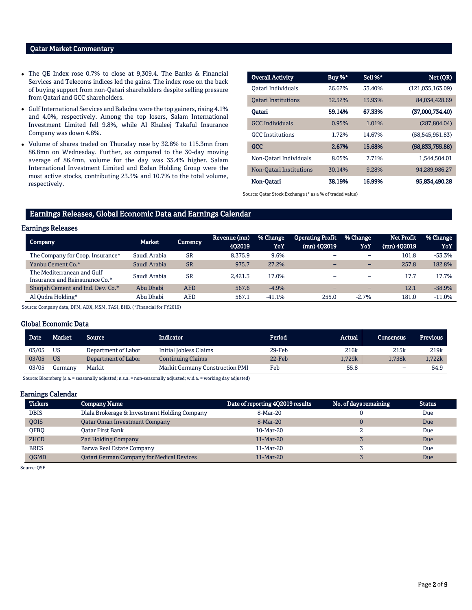# Qatar Market Commentary

- The QE Index rose 0.7% to close at 9,309.4. The Banks & Financial Services and Telecoms indices led the gains. The index rose on the back of buying support from non-Qatari shareholders despite selling pressure from Qatari and GCC shareholders.
- Gulf International Services and Baladna were the top gainers, rising 4.1% and 4.0%, respectively. Among the top losers, Salam International Investment Limited fell 9.8%, while Al Khaleej Takaful Insurance Company was down 4.8%.
- Volume of shares traded on Thursday rose by 32.8% to 115.3mn from 86.8mn on Wednesday. Further, as compared to the 30-day moving average of 86.4mn, volume for the day was 33.4% higher. Salam International Investment Limited and Ezdan Holding Group were the most active stocks, contributing 23.3% and 10.7% to the total volume, respectively.

| <b>Overall Activity</b>    | Buy %* | Sell %* | Net (QR)          |
|----------------------------|--------|---------|-------------------|
| Oatari Individuals         | 26.62% | 53.40%  | (121,035,163.09)  |
| <b>Oatari Institutions</b> | 32.52% | 13.93%  | 84,034,428.69     |
| Oatari                     | 59.14% | 67.33%  | (37,000,734.40)   |
| <b>GCC</b> Individuals     | 0.95%  | 1.01%   | (287, 804.04)     |
| <b>GCC</b> Institutions    | 1.72%  | 14.67%  | (58, 545, 951.83) |
| <b>GCC</b>                 | 2.67%  | 15.68%  | (58, 833, 755.88) |
| Non-Qatari Individuals     | 8.05%  | 7.71%   | 1.544.504.01      |
| Non-Oatari Institutions    | 30.14% | 9.28%   | 94,289,986.27     |
| Non-Qatari                 | 38.19% | 16.99%  | 95.834.490.28     |

Source: Qatar Stock Exchange (\* as a % of traded value)

# Earnings Releases, Global Economic Data and Earnings Calendar

### Earnings Releases

| Company                                                      | Market       | Currency   | Revenue (mn)<br>402019 | % Change<br>YoY | <b>Operating Profit</b><br>$(mn)$ 402019 | % Change<br>YoY          | Net Profit<br>$(mn)$ 402019 | % Change<br>YoY |
|--------------------------------------------------------------|--------------|------------|------------------------|-----------------|------------------------------------------|--------------------------|-----------------------------|-----------------|
| The Company for Coop. Insurance*                             | Saudi Arabia | <b>SR</b>  | 8.375.9                | 9.6%            |                                          | $\overline{\phantom{0}}$ | 101.8                       | $-53.3%$        |
| Yanbu Cement Co.*                                            | Saudi Arabia | <b>SR</b>  | 975.7                  | 27.2%           | $-$                                      | $-$                      | 257.8                       | 182.8%          |
| The Mediterranean and Gulf<br>Insurance and Reinsurance Co.* | Saudi Arabia | <b>SR</b>  | 2.421.3                | 17.0%           |                                          | -                        | 17.7                        | 17.7%           |
| Sharjah Cement and Ind. Dev. Co.*                            | Abu Dhabi    | <b>AED</b> | 567.6                  | $-4.9%$         |                                          | $\overline{\phantom{0}}$ | 12.1                        | $-58.9%$        |
| Al Qudra Holding*                                            | Abu Dhabi    | AED        | 567.1                  | $-41.1%$        | 255.0                                    | $-2.7%$                  | 181.0                       | $-11.0%$        |

Source: Company data, DFM, ADX, MSM, TASI, BHB. (\*Financial for FY2019)

### Global Economic Data

| <b>Date</b> | <b>Market</b> | Source              | Indicator                              | Period | Actual | Consensus | <b>Previous</b> |
|-------------|---------------|---------------------|----------------------------------------|--------|--------|-----------|-----------------|
| 03/05       | <b>US</b>     | Department of Labor | Initial Jobless Claims                 | 29-Feb | 216k   | 215k      | 219k            |
| 03/05       | <b>US</b>     | Department of Labor | <b>Continuing Claims</b>               | 22-Feb | 1.729k | 1.738k    | 1,722k          |
| 03/05       | Germanv       | Markit              | <b>Markit Germany Construction PMI</b> | Feb    | 55.8   | -         | 54.9            |

Source: Bloomberg (s.a. = seasonally adjusted; n.s.a. = non-seasonally adjusted; w.d.a. = working day adjusted)

#### Earnings Calendar

| <b>Tickers</b> | <b>Company Name</b>                          | Date of reporting 4Q2019 results | No. of days remaining | <b>Status</b> |
|----------------|----------------------------------------------|----------------------------------|-----------------------|---------------|
| <b>DBIS</b>    | Dlala Brokerage & Investment Holding Company | 8-Mar-20                         |                       | Due           |
| QOIS           | <b>Qatar Oman Investment Company</b>         | $8-Mar-20$                       |                       | Due           |
| <b>OFBO</b>    | Oatar First Bank                             | 10-Mar-20                        |                       | Due           |
| <b>ZHCD</b>    | <b>Zad Holding Company</b>                   | $11-Mar-20$                      |                       | Due           |
| <b>BRES</b>    | Barwa Real Estate Company                    | 11-Mar-20                        |                       | Due           |
| <b>OGMD</b>    | Qatari German Company for Medical Devices    | $11-Mar-20$                      |                       | Due           |

Source: QSE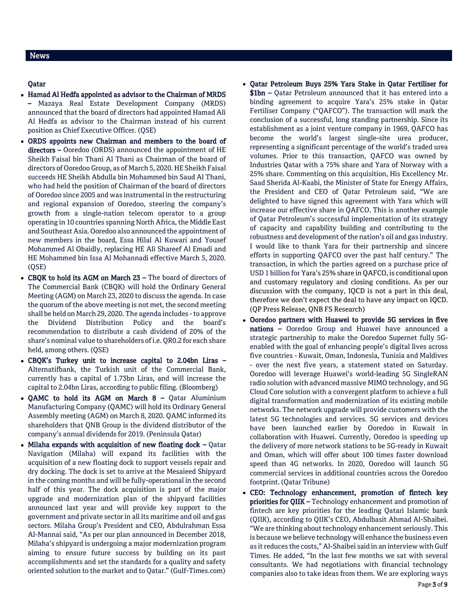## Qatar

- Hamad Al Hedfa appointed as advisor to the Chairman of MRDS – Mazaya Real Estate Development Company (MRDS) announced that the board of directors had appointed Hamad Ali Al Hedfa as advisor to the Chairman instead of his current position as Chief Executive Officer. (QSE)
- ORDS appoints new Chairman and members to the board of directors – Ooredoo (ORDS) announced the appointment of HE Sheikh Faisal bin Thani Al Thani as Chairman of the board of directors of Ooredoo Group, as of March 5, 2020. HE Sheikh Faisal succeeds HE Sheikh Abdulla bin Mohammed bin Saud Al Thani, who had held the position of Chairman of the board of directors of Ooredoo since 2005 and was instrumental in the restructuring and regional expansion of Ooredoo, steering the company's growth from a single-nation telecom operator to a group operating in 10 countries spanning North Africa, the Middle East and Southeast Asia. Ooredoo also announced the appointment of new members in the board, Essa Hilal Al Kuwari and Yousef Mohammed Al Obaidly, replacing HE Ali Shareef Al Emadi and HE Mohammed bin Issa Al Mohannadi effective March 5, 2020. (QSE)
- CBQK to hold its AGM on March 23 The board of directors of The Commercial Bank (CBQK) will hold the Ordinary General Meeting (AGM) on March 23, 2020 to discuss the agenda. In case the quorum of the above meeting is not met, the second meeting shall be held on March 29, 2020. The agenda includes -to approve the Dividend Distribution Policy and the board's recommendation to distribute a cash dividend of 20% of the share's nominal value to shareholders of i.e. QR0.2 for each share held, among others. (QSE)
- CBQK's Turkey unit to increase capital to 2.04bn Liras Alternatifbank, the Turkish unit of the Commercial Bank, currently has a capital of 1.73bn Liras, and will increase the capital to 2.04bn Liras, according to public filing. (Bloomberg)
- QAMC to hold its AGM on March  $8$  Qatar Aluminium Manufacturing Company (QAMC) will hold its Ordinary General Assembly meeting (AGM) on March 8, 2020. QAMC informed its shareholders that QNB Group is the dividend distributor of the company's annual dividends for 2019. (Peninsula Qatar)
- $\bullet$  Milaha expands with acquisition of new floating dock Qatar Navigation (Milaha) will expand its facilities with the acquisition of a new floating dock to support vessels repair and dry docking. The dock is set to arrive at the Mesaieed Shipyard in the coming months and will be fully-operational in the second half of this year. The dock acquisition is part of the major upgrade and modernization plan of the shipyard facilities announced last year and will provide key support to the government and private sector in all its maritime and oil and gas sectors. Milaha Group's President and CEO, Abdulrahman Essa Al-Mannai said, "As per our plan announced in December 2018, Milaha's shipyard is undergoing a major modernization program aiming to ensure future success by building on its past accomplishments and set the standards for a quality and safety oriented solution to the market and to Qatar." (Gulf-Times.com)
- Qatar Petroleum Buys 25% Yara Stake in Qatar Fertiliser for
	- \$1bn Qatar Petroleum announced that it has entered into a binding agreement to acquire Yara's 25% stake in Qatar Fertiliser Company ("QAFCO"). The transaction will mark the conclusion of a successful, long standing partnership. Since its establishment as a joint venture company in 1969, QAFCO has become the world's largest single-site urea producer, representing a significant percentage of the world's traded urea volumes. Prior to this transaction, QAFCO was owned by Industries Qatar with a 75% share and Yara of Norway with a 25% share. Commenting on this acquisition, His Excellency Mr. Saad Sherida Al-Kaabi, the Minister of State for Energy Affairs, the President and CEO of Qatar Petroleum said, "We are delighted to have signed this agreement with Yara which will increase our effective share in QAFCO. This is another example of Qatar Petroleum's successful implementation of its strategy of capacity and capability building and contributing to the robustness and development of the nation's oil and gas industry. I would like to thank Yara for their partnership and sincere efforts in supporting QAFCO over the past half century." The transaction, in which the parties agreed on a purchase price of USD 1 billion for Yara's 25% share in QAFCO, is conditional upon and customary regulatory and closing conditions. As per our discussion with the company, IQCD is not a part in this deal, therefore we don't expect the deal to have any impact on IQCD. (QP Press Release, QNB FS Research)
- Ooredoo partners with Huawei to provide 5G services in five nations – Ooredoo Group and Huawei have announced a strategic partnership to make the Ooredoo Supernet fully 5Genabled with the goal of enhancing people's digital lives across five countries - Kuwait, Oman, Indonesia, Tunisia and Maldives - over the next five years, a statement stated on Saturday. Ooredoo will leverage Huawei's world-leading 5G SingleRAN radio solution with advanced massive MIMO technology, and 5G Cloud Core solution with a convergent platform to achieve a full digital transformation and modernization of its existing mobile networks. The network upgrade will provide customers with the latest 5G technologies and services. 5G services and devices have been launched earlier by Ooredoo in Kuwait in collaboration with Huawei. Currently, Ooredoo is speeding up the delivery of more network stations to be 5G-ready in Kuwait and Oman, which will offer about 100 times faster download speed than 4G networks. In 2020, Ooredoo will launch 5G commercial services in additional countries across the Ooredoo footprint. (Qatar Tribune)
- CEO: Technology enhancement, promotion of fintech key priorities for QIIK – Technology enhancement and promotion of fintech are key priorities for the leading Qatari Islamic bank (QIIK), according to QIIK's CEO, Abdulbasit Ahmad Al-Shaibei. "We are thinking about technology enhancement seriously. This is because we believe technology will enhance the business even as it reduces the costs," Al-Shaibei said in an interview with Gulf Times. He added, "In the last few months we sat with several consultants. We had negotiations with financial technology companies also to take ideas from them. We are exploring ways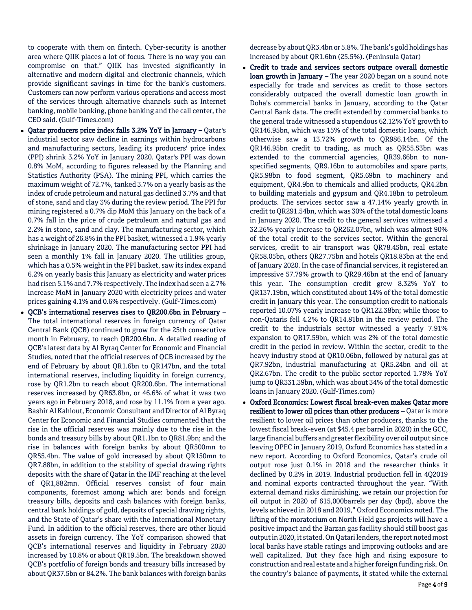to cooperate with them on fintech. Cyber-security is another area where QIIK places a lot of focus. There is no way you can compromise on that." QIIK has invested significantly in alternative and modern digital and electronic channels, which provide significant savings in time for the bank's customers. Customers can now perform various operations and access most of the services through alternative channels such as Internet banking, mobile banking, phone banking and the call center, the CEO said. (Gulf-Times.com)

- Qatar producers price index falls 3.2% YoY in January Qatar's industrial sector saw decline in earnings within hydrocarbons and manufacturing sectors, leading its producers' price index (PPI) shrink 3.2% YoY in January 2020. Qatar's PPI was down 0.8% MoM, according to figures released by the Planning and Statistics Authority (PSA). The mining PPI, which carries the maximum weight of 72.7%, tanked 3.7% on a yearly basis as the index of crude petroleum and natural gas declined 3.7% and that of stone, sand and clay 3% during the review period. The PPI for mining registered a 0.7% dip MoM this January on the back of a 0.7% fall in the price of crude petroleum and natural gas and 2.2% in stone, sand and clay. The manufacturing sector, which has a weight of 26.8% in the PPI basket, witnessed a 1.9% yearly shrinkage in January 2020. The manufacturing sector PPI had seen a monthly 1% fall in January 2020. The utilities group, which has a 0.5% weight in the PPI basket, saw its index expand 6.2% on yearly basis this January as electricity and water prices had risen 5.1% and 7.7% respectively. The index had seen a 2.7% increase MoM in January 2020 with electricity prices and water prices gaining 4.1% and 0.6% respectively. (Gulf-Times.com)
- QCB's international reserves rises to QR200.6bn in February The total international reserves in foreign currency of Qatar Central Bank (QCB) continued to grow for the 25th consecutive month in February, to reach QR200.6bn. A detailed reading of QCB's latest data by Al Byraq Center for Economic and Financial Studies, noted that the official reserves of QCB increased by the end of February by about QR1.6bn to QR147bn, and the total international reserves, including liquidity in foreign currency, rose by QR1.2bn to reach about QR200.6bn. The international reserves increased by QR63.8bn, or 46.6% of what it was two years ago in February 2018, and rose by 11.1% from a year ago. Bashir Al Kahlout, Economic Consultant and Director of Al Byraq Center for Economic and Financial Studies commented that the rise in the official reserves was mainly due to the rise in the bonds and treasury bills by about QR1.1bn to QR81.9bn; and the rise in balances with foreign banks by about QR500mn to QR55.4bn. The value of gold increased by about QR150mn to QR7.88bn, in addition to the stability of special drawing rights deposits with the share of Qatar in the IMF reaching at the level of QR1,882mn. Official reserves consist of four main components, foremost among which are: bonds and foreign treasury bills, deposits and cash balances with foreign banks, central bank holdings of gold, deposits of special drawing rights, and the State of Qatar's share with the International Monetary Fund. In addition to the official reserves, there are other liquid assets in foreign currency. The YoY comparison showed that QCB's international reserves and liquidity in February 2020 increased by 10.8% or about QR19.5bn. The breakdown showed QCB's portfolio of foreign bonds and treasury bills increased by about QR37.5bn or 84.2%. The bank balances with foreign banks

decrease by about QR3.4bn or 5.8%. The bank's gold holdings has increased by about QR1.6bn (25.5%). (Peninsula Qatar)

- Credit to trade and services sectors outpace overall domestic loan growth in January - The year 2020 began on a sound note especially for trade and services as credit to those sectors considerably outpaced the overall domestic loan growth in Doha's commercial banks in January, according to the Qatar Central Bank data. The credit extended by commercial banks to the general trade witnessed a stupendous 62.12% YoY growth to QR146.95bn, which was 15% of the total domestic loans, which otherwise saw a 13.72% growth to QR986.14bn. Of the QR146.95bn credit to trading, as much as QR55.53bn was extended to the commercial agencies, QR39.66bn to nonspecified segments, QR9.16bn to automobiles and spare parts, QR5.98bn to food segment, QR5.69bn to machinery and equipment, QR4.9bn to chemicals and allied products, QR4.2bn to building materials and gypsum and QR4.18bn to petroleum products. The services sector saw a 47.14% yearly growth in credit to QR291.54bn, which was 30% of the total domestic loans in January 2020. The credit to the general services witnessed a 32.26% yearly increase to QR262.07bn, which was almost 90% of the total credit to the services sector. Within the general services, credit to air transport was QR78.45bn, real estate QR58.05bn, others QR27.75bn and hotels QR18.83bn at the end of January 2020. In the case of financial services, it registered an impressive 57.79% growth to QR29.46bn at the end of January this year. The consumption credit grew 8.32% YoY to QR137.19bn, which constituted about 14% of the total domestic credit in January this year. The consumption credit to nationals reported 10.07% yearly increase to QR122.38bn; while those to non-Qataris fell 4.2% to QR14.81bn in the review period. The credit to the industrials sector witnessed a yearly 7.91% expansion to QR17.59bn, which was 2% of the total domestic credit in the period in review. Within the sector, credit to the heavy industry stood at QR10.06bn, followed by natural gas at QR7.92bn, industrial manufacturing at QR5.24bn and oil at QR2.67bn. The credit to the public sector reported 1.78% YoY jump to QR331.39bn, which was about 34% of the total domestic loans in January 2020. (Gulf-Times.com)
- Oxford Economics: Lowest fiscal break-even makes Qatar more resilient to lower oil prices than other producers - Qatar is more resilient to lower oil prices than other producers, thanks to the lowest fiscal break-even (at \$45.4 per barrel in 2020) in the GCC, large financial buffers and greater flexibility over oil output since leaving OPEC in January 2019, Oxford Economics has stated in a new report. According to Oxford Economics, Qatar's crude oil output rose just 0.1% in 2018 and the researcher thinks it declined by 0.2% in 2019. Industrial production fell in 4Q2019 and nominal exports contracted throughout the year. "With external demand risks diminishing, we retain our projection for oil output in 2020 of 615,000barrels per day (bpd), above the levels achieved in 2018 and 2019," Oxford Economics noted. The lifting of the moratorium on North Field gas projects will have a positive impact and the Barzan gas facility should still boost gas output in 2020, it stated. On Qatari lenders, the report noted most local banks have stable ratings and improving outlooks and are well capitalized. But they face high and rising exposure to construction and real estate and a higher foreign funding risk. On the country's balance of payments, it stated while the external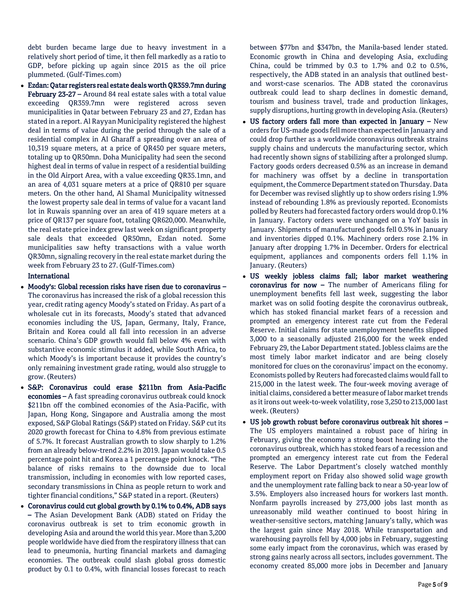debt burden became large due to heavy investment in a relatively short period of time, it then fell markedly as a ratio to GDP, before picking up again since 2015 as the oil price plummeted. (Gulf-Times.com)

 Ezdan: Qatar registers real estate deals worth QR359.7mn during February 23-27 – Around 84 real estate sales with a total value exceeding QR359.7mn were registered across seven municipalities in Qatar between February 23 and 27, Ezdan has stated in a report. Al Rayyan Municipality registered the highest deal in terms of value during the period through the sale of a residential complex in Al Gharaff a spreading over an area of 10,319 square meters, at a price of QR450 per square meters, totaling up to QR50mn. Doha Municipality had seen the second highest deal in terms of value in respect of a residential building in the Old Airport Area, with a value exceeding QR35.1mn, and an area of 4,031 square meters at a price of QR810 per square meters. On the other hand, Al Shamal Municipality witnessed the lowest property sale deal in terms of value for a vacant land lot in Ruwais spanning over an area of 419 square meters at a price of QR137 per square foot, totaling QR620,000. Meanwhile, the real estate price index grew last week on significant property sale deals that exceeded QR50mn, Ezdan noted. Some municipalities saw hefty transactions with a value worth QR30mn, signaling recovery in the real estate market during the week from February 23 to 27. (Gulf-Times.com)

## International

- Moody's: Global recession risks have risen due to coronavirus The coronavirus has increased the risk of a global recession this year, credit rating agency Moody's stated on Friday. As part of a wholesale cut in its forecasts, Moody's stated that advanced economies including the US, Japan, Germany, Italy, France, Britain and Korea could all fall into recession in an adverse scenario. China's GDP growth would fall below 4% even with substantive economic stimulus it added, while South Africa, to which Moody's is important because it provides the country's only remaining investment grade rating, would also struggle to grow. (Reuters)
- S&P: Coronavirus could erase \$211bn from Asia-Pacific economies – A fast spreading coronavirus outbreak could knock \$211bn off the combined economies of the Asia-Pacific, with Japan, Hong Kong, Singapore and Australia among the most exposed, S&P Global Ratings (S&P) stated on Friday. S&P cut its 2020 growth forecast for China to 4.8% from previous estimate of 5.7%. It forecast Australian growth to slow sharply to 1.2% from an already below-trend 2.2% in 2019. Japan would take 0.5 percentage point hit and Korea a 1 percentage point knock. "The balance of risks remains to the downside due to local transmission, including in economies with low reported cases, secondary transmissions in China as people return to work and tighter financial conditions," S&P stated in a report. (Reuters)
- Coronavirus could cut global growth by 0.1% to 0.4%, ADB says – The Asian Development Bank (ADB) stated on Friday the coronavirus outbreak is set to trim economic growth in developing Asia and around the world this year. More than 3,200 people worldwide have died from the respiratory illness that can lead to pneumonia, hurting financial markets and damaging economies. The outbreak could slash global gross domestic product by 0.1 to 0.4%, with financial losses forecast to reach

between \$77bn and \$347bn, the Manila-based lender stated. Economic growth in China and developing Asia, excluding China, could be trimmed by 0.3 to 1.7% and 0.2 to 0.5%, respectively, the ADB stated in an analysis that outlined bestand worst-case scenarios. The ADB stated the coronavirus outbreak could lead to sharp declines in domestic demand, tourism and business travel, trade and production linkages, supply disruptions, hurting growth in developing Asia. (Reuters)

- US factory orders fall more than expected in January New orders for US-made goods fell more than expected in January and could drop further as a worldwide coronavirus outbreak strains supply chains and undercuts the manufacturing sector, which had recently shown signs of stabilizing after a prolonged slump. Factory goods orders decreased 0.5% as an increase in demand for machinery was offset by a decline in transportation equipment, the Commerce Department stated on Thursday. Data for December was revised slightly up to show orders rising 1.9% instead of rebounding 1.8% as previously reported. Economists polled by Reuters had forecasted factory orders would drop 0.1% in January. Factory orders were unchanged on a YoY basis in January. Shipments of manufactured goods fell 0.5% in January and inventories dipped 0.1%. Machinery orders rose 2.1% in January after dropping 1.7% in December. Orders for electrical equipment, appliances and components orders fell 1.1% in January. (Reuters)
- US weekly jobless claims fall; labor market weathering coronavirus for now – The number of Americans filing for unemployment benefits fell last week, suggesting the labor market was on solid footing despite the coronavirus outbreak, which has stoked financial market fears of a recession and prompted an emergency interest rate cut from the Federal Reserve. Initial claims for state unemployment benefits slipped 3,000 to a seasonally adjusted 216,000 for the week ended February 29, the Labor Department stated. Jobless claims are the most timely labor market indicator and are being closely monitored for clues on the coronavirus' impact on the economy. Economists polled by Reuters had forecasted claims would fall to 215,000 in the latest week. The four-week moving average of initial claims, considered a better measure of labor market trends as it irons out week-to-week volatility, rose 3,250 to 213,000 last week. (Reuters)
- US job growth robust before coronavirus outbreak hit shores The US employers maintained a robust pace of hiring in February, giving the economy a strong boost heading into the coronavirus outbreak, which has stoked fears of a recession and prompted an emergency interest rate cut from the Federal Reserve. The Labor Department's closely watched monthly employment report on Friday also showed solid wage growth and the unemployment rate falling back to near a 50-year low of 3.5%. Employers also increased hours for workers last month. Nonfarm payrolls increased by 273,000 jobs last month as unreasonably mild weather continued to boost hiring in weather-sensitive sectors, matching January's tally, which was the largest gain since May 2018. While transportation and warehousing payrolls fell by 4,000 jobs in February, suggesting some early impact from the coronavirus, which was erased by strong gains nearly across all sectors, includes government. The economy created 85,000 more jobs in December and January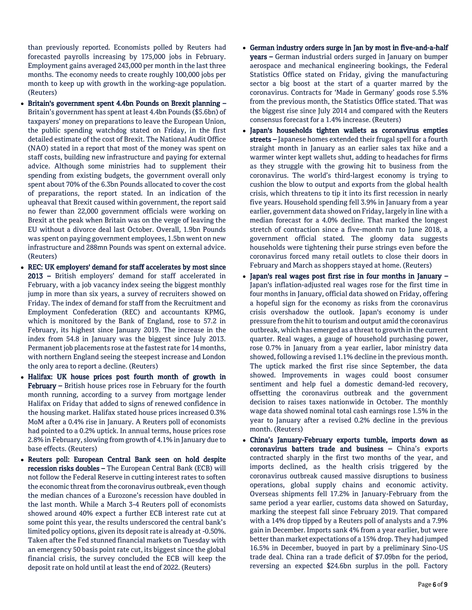than previously reported. Economists polled by Reuters had forecasted payrolls increasing by 175,000 jobs in February. Employment gains averaged 243,000 per month in the last three months. The economy needs to create roughly 100,000 jobs per month to keep up with growth in the working-age population. (Reuters)

- Britain's government spent 4.4bn Pounds on Brexit planning Britain's government has spent at least 4.4bn Pounds (\$5.6bn) of taxpayers' money on preparations to leave the European Union, the public spending watchdog stated on Friday, in the first detailed estimate of the cost of Brexit. The National Audit Office (NAO) stated in a report that most of the money was spent on staff costs, building new infrastructure and paying for external advice. Although some ministries had to supplement their spending from existing budgets, the government overall only spent about 70% of the 6.3bn Pounds allocated to cover the cost of preparations, the report stated. In an indication of the upheaval that Brexit caused within government, the report said no fewer than 22,000 government officials were working on Brexit at the peak when Britain was on the verge of leaving the EU without a divorce deal last October. Overall, 1.9bn Pounds was spent on paying government employees, 1.5bn went on new infrastructure and 288mn Pounds was spent on external advice. (Reuters)
- REC: UK employers' demand for staff accelerates by most since 2013 – British employers' demand for staff accelerated in February, with a job vacancy index seeing the biggest monthly jump in more than six years, a survey of recruiters showed on Friday. The index of demand for staff from the Recruitment and Employment Confederation (REC) and accountants KPMG, which is monitored by the Bank of England, rose to 57.2 in February, its highest since January 2019. The increase in the index from 54.8 in January was the biggest since July 2013. Permanent job placements rose at the fastest rate for 14 months, with northern England seeing the steepest increase and London the only area to report a decline. (Reuters)
- Halifax: UK house prices post fourth month of growth in February – British house prices rose in February for the fourth month running, according to a survey from mortgage lender Halifax on Friday that added to signs of renewed confidence in the housing market. Halifax stated house prices increased 0.3% MoM after a 0.4% rise in January. A Reuters poll of economists had pointed to a 0.2% uptick. In annual terms, house prices rose 2.8% in February, slowing from growth of 4.1% in January due to base effects. (Reuters)
- Reuters poll: European Central Bank seen on hold despite recession risks doubles – The European Central Bank (ECB) will not follow the Federal Reserve in cutting interest rates to soften the economic threat from the coronavirus outbreak, even though the median chances of a Eurozone's recession have doubled in the last month. While a March 3-4 Reuters poll of economists showed around 40% expect a further ECB interest rate cut at some point this year, the results underscored the central bank's limited policy options, given its deposit rate is already at -0.50%. Taken after the Fed stunned financial markets on Tuesday with an emergency 50 basis point rate cut, its biggest since the global financial crisis, the survey concluded the ECB will keep the deposit rate on hold until at least the end of 2022. (Reuters)
- German industry orders surge in Jan by most in five-and-a-half years – German industrial orders surged in January on bumper aerospace and mechanical engineering bookings, the Federal Statistics Office stated on Friday, giving the manufacturing sector a big boost at the start of a quarter marred by the coronavirus. Contracts for 'Made in Germany' goods rose 5.5% from the previous month, the Statistics Office stated. That was the biggest rise since July 2014 and compared with the Reuters consensus forecast for a 1.4% increase. (Reuters)
- Japan's households tighten wallets as coronavirus empties streets – Japanese homes extended their frugal spell for a fourth straight month in January as an earlier sales tax hike and a warmer winter kept wallets shut, adding to headaches for firms as they struggle with the growing hit to business from the coronavirus. The world's third-largest economy is trying to cushion the blow to output and exports from the global health crisis, which threatens to tip it into its first recession in nearly five years. Household spending fell 3.9% in January from a year earlier, government data showed on Friday, largely in line with a median forecast for a 4.0% decline. That marked the longest stretch of contraction since a five-month run to June 2018, a government official stated. The gloomy data suggests households were tightening their purse strings even before the coronavirus forced many retail outlets to close their doors in February and March as shoppers stayed at home. (Reuters)
- Japan's real wages post first rise in four months in January Japan's inflation-adjusted real wages rose for the first time in four months in January, official data showed on Friday, offering a hopeful sign for the economy as risks from the coronavirus crisis overshadow the outlook. Japan's economy is under pressure from the hit to tourism and output amid the coronavirus outbreak, which has emerged as a threat to growth in the current quarter. Real wages, a gauge of household purchasing power, rose 0.7% in January from a year earlier, labor ministry data showed, following a revised 1.1% decline in the previous month. The uptick marked the first rise since September, the data showed. Improvements in wages could boost consumer sentiment and help fuel a domestic demand-led recovery, offsetting the coronavirus outbreak and the government decision to raises taxes nationwide in October. The monthly wage data showed nominal total cash earnings rose 1.5% in the year to January after a revised 0.2% decline in the previous month. (Reuters)
- China's January-February exports tumble, imports down as coronavirus batters trade and business – China's exports contracted sharply in the first two months of the year, and imports declined, as the health crisis triggered by the coronavirus outbreak caused massive disruptions to business operations, global supply chains and economic activity. Overseas shipments fell 17.2% in January-February from the same period a year earlier, customs data showed on Saturday, marking the steepest fall since February 2019. That compared with a 14% drop tipped by a Reuters poll of analysts and a 7.9% gain in December. Imports sank 4% from a year earlier, but were better than market expectations of a 15% drop. They had jumped 16.5% in December, buoyed in part by a preliminary Sino-US trade deal. China ran a trade deficit of \$7.09bn for the period, reversing an expected \$24.6bn surplus in the poll. Factory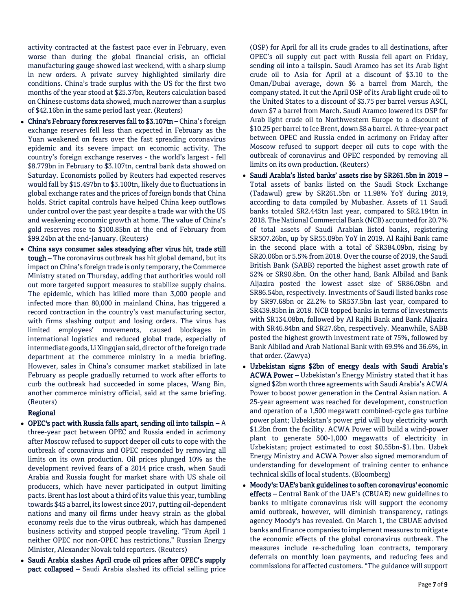activity contracted at the fastest pace ever in February, even worse than during the global financial crisis, an official manufacturing gauge showed last weekend, with a sharp slump in new orders. A private survey highlighted similarly dire conditions. China's trade surplus with the US for the first two months of the year stood at \$25.37bn, Reuters calculation based on Chinese customs data showed, much narrower than a surplus of \$42.16bn in the same period last year. (Reuters)

- China's February forex reserves fall to \$3.107tn China's foreign exchange reserves fell less than expected in February as the Yuan weakened on fears over the fast spreading coronavirus epidemic and its severe impact on economic activity. The country's foreign exchange reserves - the world's largest - fell \$8.779bn in February to \$3.107tn, central bank data showed on Saturday. Economists polled by Reuters had expected reserves would fall by \$15.497bn to \$3.100tn, likely due to fluctuations in global exchange rates and the prices of foreign bonds that China holds. Strict capital controls have helped China keep outflows under control over the past year despite a trade war with the US and weakening economic growth at home. The value of China's gold reserves rose to \$100.85bn at the end of February from \$99.24bn at the end-January. (Reuters)
- China says consumer sales steadying after virus hit, trade still tough – The coronavirus outbreak has hit global demand, but its impact on China's foreign trade is only temporary, the Commerce Ministry stated on Thursday, adding that authorities would roll out more targeted support measures to stabilize supply chains. The epidemic, which has killed more than 3,000 people and infected more than 80,000 in mainland China, has triggered a record contraction in the country's vast manufacturing sector, with firms slashing output and losing orders. The virus has limited employees' movements, caused blockages in international logistics and reduced global trade, especially of intermediate goods, Li Xingqian said, director of the foreign trade department at the commerce ministry in a media briefing. However, sales in China's consumer market stabilized in late February as people gradually returned to work after efforts to curb the outbreak had succeeded in some places, Wang Bin, another commerce ministry official, said at the same briefing. (Reuters)

# Regional

- OPEC's pact with Russia falls apart, sending oil into tailspin  $-A$ three-year pact between OPEC and Russia ended in acrimony after Moscow refused to support deeper oil cuts to cope with the outbreak of coronavirus and OPEC responded by removing all limits on its own production. Oil prices plunged 10% as the development revived fears of a 2014 price crash, when Saudi Arabia and Russia fought for market share with US shale oil producers, which have never participated in output limiting pacts. Brent has lost about a third of its value this year, tumbling towards \$45 a barrel, its lowest since 2017, putting oil-dependent nations and many oil firms under heavy strain as the global economy reels due to the virus outbreak, which has dampened business activity and stopped people traveling. "From April 1 neither OPEC nor non-OPEC has restrictions," Russian Energy Minister, Alexander Novak told reporters. (Reuters)
- Saudi Arabia slashes April crude oil prices after OPEC's supply pact collapsed – Saudi Arabia slashed its official selling price

(OSP) for April for all its crude grades to all destinations, after OPEC's oil supply cut pact with Russia fell apart on Friday, sending oil into a tailspin. Saudi Aramco has set its Arab light crude oil to Asia for April at a discount of \$3.10 to the Oman/Dubai average, down \$6 a barrel from March, the company stated. It cut the April OSP of its Arab light crude oil to the United States to a discount of \$3.75 per barrel versus ASCI, down \$7 a barrel from March. Saudi Aramco lowered its OSP for Arab light crude oil to Northwestern Europe to a discount of \$10.25 per barrel to Ice Brent, down \$8 a barrel. A three-year pact between OPEC and Russia ended in acrimony on Friday after Moscow refused to support deeper oil cuts to cope with the outbreak of coronavirus and OPEC responded by removing all limits on its own production. (Reuters)

- Saudi Arabia's listed banks' assets rise by SR261.5bn in 2019 Total assets of banks listed on the Saudi Stock Exchange (Tadawul) grew by SR261.5bn or 11.98% YoY during 2019, according to data compiled by Mubasher. Assets of 11 Saudi banks totaled SR2.445tn last year, compared to SR2.184tn in 2018. The National Commercial Bank (NCB) accounted for 20.7% of total assets of Saudi Arabian listed banks, registering SR507.26bn, up by SR55.09bn YoY in 2019. Al Rajhi Bank came in the second place with a total of SR384.09bn, rising by SR20.06bn or 5.5% from 2018. Over the course of 2019, the Saudi British Bank (SABB) reported the highest asset growth rate of 52% or SR90.8bn. On the other hand, Bank Albilad and Bank Aljazira posted the lowest asset size of SR86.08bn and SR86.54bn, respectively. Investments of Saudi listed banks rose by SR97.68bn or 22.2% to SR537.5bn last year, compared to SR439.85bn in 2018. NCB topped banks in terms of investments with SR134.08bn, followed by Al Rajhi Bank and Bank Aljazira with SR46.84bn and SR27.6bn, respectively. Meanwhile, SABB posted the highest growth investment rate of 75%, followed by Bank Albilad and Arab National Bank with 69.9% and 36.6%, in that order. (Zawya)
- Uzbekistan signs \$2bn of energy deals with Saudi Arabia's ACWA Power - Uzbekistan's Energy Ministry stated that it has signed \$2bn worth three agreements with Saudi Arabia's ACWA Power to boost power generation in the Central Asian nation. A 25-year agreement was reached for development, construction and operation of a 1,500 megawatt combined-cycle gas turbine power plant; Uzbekistan's power grid will buy electricity worth \$1.2bn from the facility. ACWA Power will build a wind-power plant to generate 500-1,000 megawatts of electricity in Uzbekistan; project estimated to cost \$0.55bn-\$1.1bn. Uzbek Energy Ministry and ACWA Power also signed memorandum of understanding for development of training center to enhance technical skills of local students. (Bloomberg)
- Moody's: UAE's bank guidelines to soften coronavirus' economic effects – Central Bank of the UAE's (CBUAE) new guidelines to banks to mitigate coronavirus risk will support the economy amid outbreak, however, will diminish transparency, ratings agency Moody's has revealed. On March 1, the CBUAE advised banks and finance companies to implement measures to mitigate the economic effects of the global coronavirus outbreak. The measures include re-scheduling loan contracts, temporary deferrals on monthly loan payments, and reducing fees and commissions for affected customers. "The guidance will support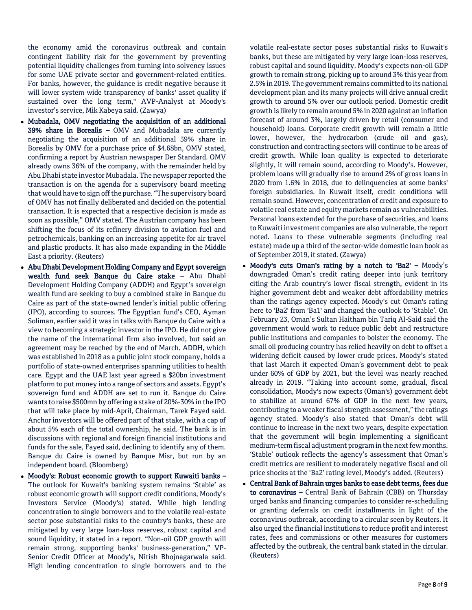the economy amid the coronavirus outbreak and contain contingent liability risk for the government by preventing potential liquidity challenges from turning into solvency issues for some UAE private sector and government-related entities. For banks, however, the guidance is credit negative because it will lower system wide transparency of banks' asset quality if sustained over the long term," AVP-Analyst at Moody's investor's service, Mik Kabeya said. (Zawya)

- Mubadala, OMV negotiating the acquisition of an additional 39% share in Borealis – OMV and Mubadala are currently negotiating the acquisition of an additional 39% share in Borealis by OMV for a purchase price of \$4.68bn, OMV stated, confirming a report by Austrian newspaper Der Standard. OMV already owns 36% of the company, with the remainder held by Abu Dhabi state investor Mubadala. The newspaper reported the transaction is on the agenda for a supervisory board meeting that would have to sign off the purchase. "The supervisory board of OMV has not finally deliberated and decided on the potential transaction. It is expected that a respective decision is made as soon as possible," OMV stated. The Austrian company has been shifting the focus of its refinery division to aviation fuel and petrochemicals, banking on an increasing appetite for air travel and plastic products. It has also made expanding in the Middle East a priority. (Reuters)
- Abu Dhabi Development Holding Company and Egypt sovereign wealth fund seek Banque du Caire stake – Abu Dhabi Development Holding Company (ADDH) and Egypt's sovereign wealth fund are seeking to buy a combined stake in Banque du Caire as part of the state-owned lender's initial public offering (IPO), according to sources. The Egyptian fund's CEO, Ayman Soliman, earlier said it was in talks with Banque du Caire with a view to becoming a strategic investor in the IPO. He did not give the name of the international firm also involved, but said an agreement may be reached by the end of March. ADDH, which was established in 2018 as a public joint stock company, holds a portfolio of state-owned enterprises spanning utilities to health care. Egypt and the UAE last year agreed a \$20bn investment platform to put money into a range of sectors and assets. Egypt's sovereign fund and ADDH are set to run it. Banque du Caire wants to raise \$500mn by offering a stake of 20%-30% in the IPO that will take place by mid-April, Chairman, Tarek Fayed said. Anchor investors will be offered part of that stake, with a cap of about 5% each of the total ownership, he said. The bank is in discussions with regional and foreign financial institutions and funds for the sale, Fayed said, declining to identify any of them. Banque du Caire is owned by Banque Misr, but run by an independent board. (Bloomberg)
- Moody's: Robust economic growth to support Kuwaiti banks -The outlook for Kuwait's banking system remains 'Stable' as robust economic growth will support credit conditions, Moody's Investors Service (Moody's) stated. While high lending concentration to single borrowers and to the volatile real-estate sector pose substantial risks to the country's banks, these are mitigated by very large loan-loss reserves, robust capital and sound liquidity, it stated in a report. "Non-oil GDP growth will remain strong, supporting banks' business-generation," VP-Senior Credit Officer at Moody's, Nitish Bhojnagarwala said. High lending concentration to single borrowers and to the

volatile real-estate sector poses substantial risks to Kuwait's banks, but these are mitigated by very large loan-loss reserves, robust capital and sound liquidity. Moody's expects non-oil GDP growth to remain strong, picking up to around 3% this year from 2.5% in 2019. The government remains committed to its national development plan and its many projects will drive annual credit growth to around 5% over our outlook period. Domestic credit growth is likely to remain around 5% in 2020 against an inflation forecast of around 3%, largely driven by retail (consumer and household) loans. Corporate credit growth will remain a little lower, however, the hydrocarbon (crude oil and gas), construction and contracting sectors will continue to be areas of credit growth. While loan quality is expected to deteriorate slightly, it will remain sound, according to Moody's. However, problem loans will gradually rise to around 2% of gross loans in 2020 from 1.6% in 2018, due to delinquencies at some banks' foreign subsidiaries. In Kuwait itself, credit conditions will remain sound. However, concentration of credit and exposure to volatile real estate and equity markets remain as vulnerabilities. Personal loans extended for the purchase of securities, and loans to Kuwaiti investment companies are also vulnerable, the report noted. Loans to these vulnerable segments (including real estate) made up a third of the sector-wide domestic loan book as of September 2019, it stated. (Zawya)

- Moody's cuts Oman's rating by a notch to 'Ba2' Moody's downgraded Oman's credit rating deeper into junk territory citing the Arab country's lower fiscal strength, evident in its higher government debt and weaker debt affordability metrics than the ratings agency expected. Moody's cut Oman's rating here to 'Ba2' from 'Ba1' and changed the outlook to 'Stable'. On February 23, Oman's Sultan Haitham bin Tariq Al-Said said the government would work to reduce public debt and restructure public institutions and companies to bolster the economy. The small oil producing country has relied heavily on debt to offset a widening deficit caused by lower crude prices. Moody's stated that last March it expected Oman's government debt to peak under 60% of GDP by 2021, but the level was nearly reached already in 2019. "Taking into account some, gradual, fiscal consolidation, Moody's now expects (Oman's) government debt to stabilize at around 67% of GDP in the next few years, contributing to a weaker fiscal strength assessment," the ratings agency stated. Moody's also stated that Oman's debt will continue to increase in the next two years, despite expectation that the government will begin implementing a significant medium-term fiscal adjustment program in the next few months. 'Stable' outlook reflects the agency's assessment that Oman's credit metrics are resilient to moderately negative fiscal and oil price shocks at the 'Ba2' rating level, Moody's added. (Reuters)
- Central Bank of Bahrain urges banks to ease debt terms, fees due to coronavirus – Central Bank of Bahrain (CBB) on Thursday urged banks and financing companies to consider re-scheduling or granting deferrals on credit installments in light of the coronavirus outbreak, according to a circular seen by Reuters. It also urged the financial institutions to reduce profit and interest rates, fees and commissions or other measures for customers affected by the outbreak, the central bank stated in the circular. (Reuters)